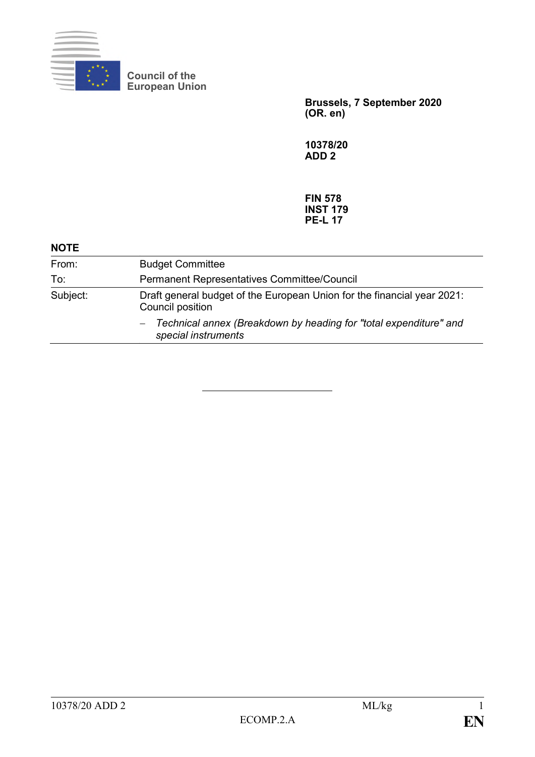

**Council of the European Union**

> **Brussels, 7 September 2020 (OR. en)**

**10378/20 ADD 2**

**FIN 578 INST 179 PE-L 17**

| <b>Budget Committee</b>                                                                     |
|---------------------------------------------------------------------------------------------|
| Permanent Representatives Committee/Council                                                 |
| Draft general budget of the European Union for the financial year 2021:<br>Council position |
| Technical annex (Breakdown by heading for "total expenditure" and<br>special instruments    |
|                                                                                             |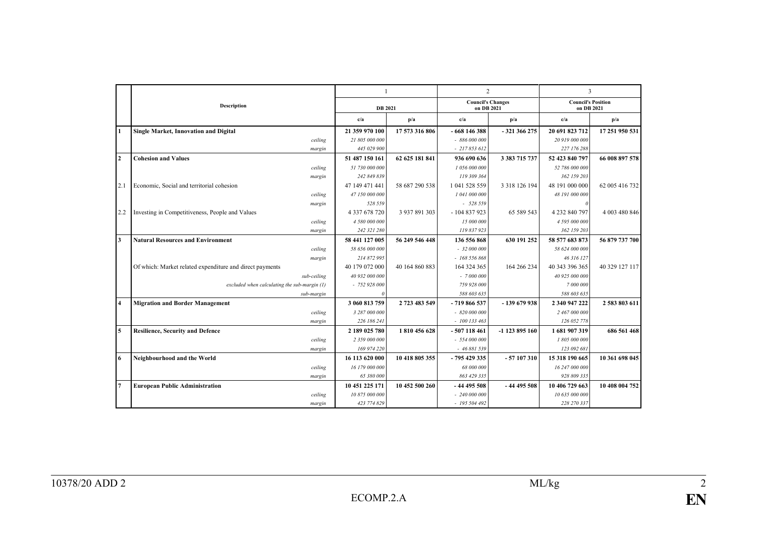|                         |                                                          | 1              |                |                                        | $\overline{2}$   | 3                                       |                |
|-------------------------|----------------------------------------------------------|----------------|----------------|----------------------------------------|------------------|-----------------------------------------|----------------|
|                         | <b>Description</b>                                       | <b>DB</b> 2021 |                | <b>Council's Changes</b><br>on DB 2021 |                  | <b>Council's Position</b><br>on DB 2021 |                |
|                         |                                                          | c/a            | p/a            | c/a                                    | p/a              | c/a                                     | p/a            |
| $\blacksquare$          | <b>Single Market, Innovation and Digital</b>             | 21 359 970 100 | 17 573 316 806 | $-668146388$                           | - 321 366 275    | 20 691 823 712                          | 17 251 950 531 |
|                         | ceiling                                                  | 21 805 000 000 |                | $-886000000$                           |                  | 20 919 000 000                          |                |
|                         | margin                                                   | 445 029 900    |                | $-217853612$                           |                  | 227 176 288                             |                |
| $\overline{2}$          | <b>Cohesion and Values</b>                               | 51 487 150 161 | 62 625 181 841 | 936 690 636                            | 3 383 715 737    | 52 423 840 797                          | 66 008 897 578 |
|                         | ceiling                                                  | 51 730 000 000 |                | 1 056 000 000                          |                  | 52 786 000 000                          |                |
|                         | margin                                                   | 242 849 839    |                | 119 309 364                            |                  | 362 159 203                             |                |
| 2.1                     | Economic, Social and territorial cohesion                | 47 149 471 441 | 58 687 290 538 | 1 041 528 559                          | 3 3 18 1 26 1 94 | 48 191 000 000                          | 62 005 416 732 |
|                         | ceiling                                                  | 47 150 000 000 |                | 1 041 000 000                          |                  | 48 191 000 000                          |                |
|                         | margin                                                   | 528 559        |                | $-528559$                              |                  |                                         |                |
| 2.2                     | Investing in Competitiveness, People and Values          | 4 337 678 720  | 3 937 891 303  | $-104837923$                           | 65 589 543       | 4 232 840 797                           | 4 003 480 846  |
|                         | ceiling                                                  | 4 580 000 000  |                | 15 000 000                             |                  | 4 595 000 000                           |                |
|                         | margin                                                   | 242 321 280    |                | 119 837 923                            |                  | 362 159 203                             |                |
| $\overline{\mathbf{3}}$ | <b>Natural Resources and Environment</b>                 | 58 441 127 005 | 56 249 546 448 | 136 556 868                            | 630 191 252      | 58 577 683 873                          | 56 879 737 700 |
|                         | ceiling                                                  | 58 656 000 000 |                | $-32000000$                            |                  | 58 624 000 000                          |                |
|                         | margin                                                   | 214 872 995    |                | $-168556868$                           |                  | 46 316 127                              |                |
|                         | Of which: Market related expenditure and direct payments | 40 179 072 000 | 40 164 860 883 | 164 324 365                            | 164 266 234      | 40 343 396 365                          | 40 329 127 117 |
|                         | sub-ceiling                                              | 40 932 000 000 |                | $-7000000$                             |                  | 40 925 000 000                          |                |
|                         | excluded when calculating the sub-margin (1)             | $-752928000$   |                | 759 928 000                            |                  | 7 000 000                               |                |
|                         | sub-margin                                               |                |                | 588 603 635                            |                  | 588 603 635                             |                |
| $\overline{\mathbf{4}}$ | <b>Migration and Border Management</b>                   | 3 060 813 759  | 2 723 483 549  | $-719866537$                           | -139 679 938     | 2 340 947 222                           | 2 583 803 611  |
|                         | ceiling                                                  | 3 287 000 000  |                | $-820000000$                           |                  | 2 467 000 000                           |                |
|                         | margin                                                   | 226 186 241    |                | $-100133463$                           |                  | 126 052 778                             |                |
| 5                       | <b>Resilience, Security and Defence</b>                  | 2 189 025 780  | 1810456628     | $-507118461$                           | -1 123 895 160   | 1681907319                              | 686 561 468    |
|                         | ceiling                                                  | 2 359 000 000  |                | $-554000000$                           |                  | 1 805 000 000                           |                |
|                         | margin                                                   | 169 974 220    |                | - 46 881 539                           |                  | 123 092 681                             |                |
| 6                       | Neighbourhood and the World                              | 16 113 620 000 | 10 418 805 355 | $-795429335$                           | $-57107310$      | 15 318 190 665                          | 10 361 698 045 |
|                         | ceiling                                                  | 16 179 000 000 |                | 68 000 000                             |                  | 16 247 000 000                          |                |
|                         | margin                                                   | 65 380 000     |                | 863 429 335                            |                  | 928 809 335                             |                |
| 7                       | <b>European Public Administration</b>                    | 10 451 225 171 | 10 452 500 260 | $-4449558$                             | $-44495508$      | 10 406 729 663                          | 10 408 004 752 |
|                         | ceiling                                                  | 10 875 000 000 |                | $-240000000$                           |                  | 10 635 000 000                          |                |
|                         | margin                                                   | 423 774 829    |                | $-195504492$                           |                  | 228 270 337                             |                |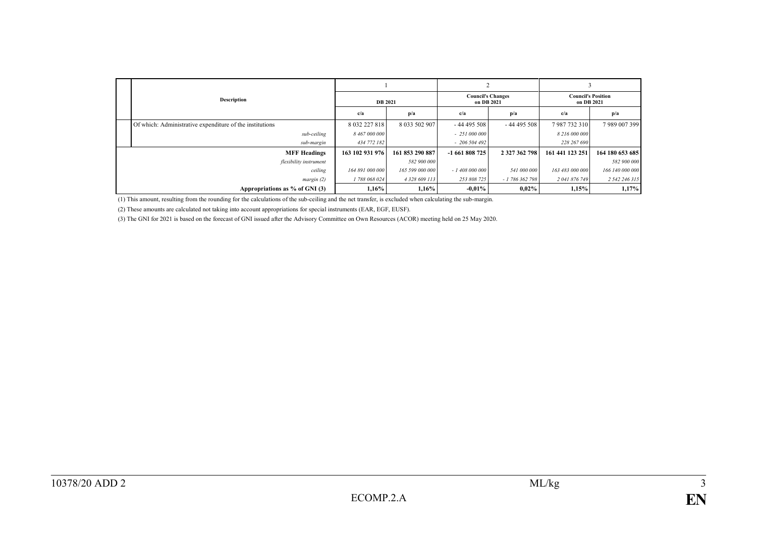| Description                                              | <b>DB</b> 2021  |                 | <b>Council's Changes</b><br>on DB 2021 |               | <b>Council's Position</b><br>on DB 2021 |                 |
|----------------------------------------------------------|-----------------|-----------------|----------------------------------------|---------------|-----------------------------------------|-----------------|
|                                                          | c/a             | p/a             | c/a                                    | p/a           | c/a                                     | p/a             |
| Of which: Administrative expenditure of the institutions | 8 032 227 818   | 8 033 502 907   | $-44495508$                            | $-44495508$   | 7987732310                              | 7989007399      |
| sub-ceiling                                              | 8 467 000 000   |                 | $-251000000$                           |               | 8 216 000 000                           |                 |
| sub-margin                                               | 434 772 182     |                 | $-206504492$                           |               | 228 267 690                             |                 |
| <b>MFF Headings</b>                                      | 163 102 931 976 | 161 853 290 887 | $-1661808725$                          | 2 327 362 798 | 161 441 123 251                         | 164 180 653 685 |
| flexibility instrument                                   |                 | 582 900 000     |                                        |               |                                         | 582 900 000     |
| ceiling                                                  | 164 891 000 000 | 165 599 000 000 | $-1408000000$                          | 541 000 000   | 163 483 000 000                         | 166 140 000 000 |
| margin(2)                                                | 1 788 068 024   | 4 328 609 113   | 253 808 725                            | $-1786362798$ | 2 041 876 749                           | 2 542 246 315   |
| Appropriations as $%$ of GNI (3)                         | 1,16%           | 1,16%           | $-0.01\%$                              | $0,02\%$      | 1,15%                                   | 1,17%           |

(1) This amount, resulting from the rounding for the calculations of the sub-ceiling and the net transfer, is excluded when calculating the sub-margin.

(2) These amounts are calculated not taking into account appropriations for special instruments (EAR, EGF, EUSF).

(3) The GNI for 2021 is based on the forecast of GNI issued after the Advisory Committee on Own Resources (ACOR) meeting held on 25 May 2020.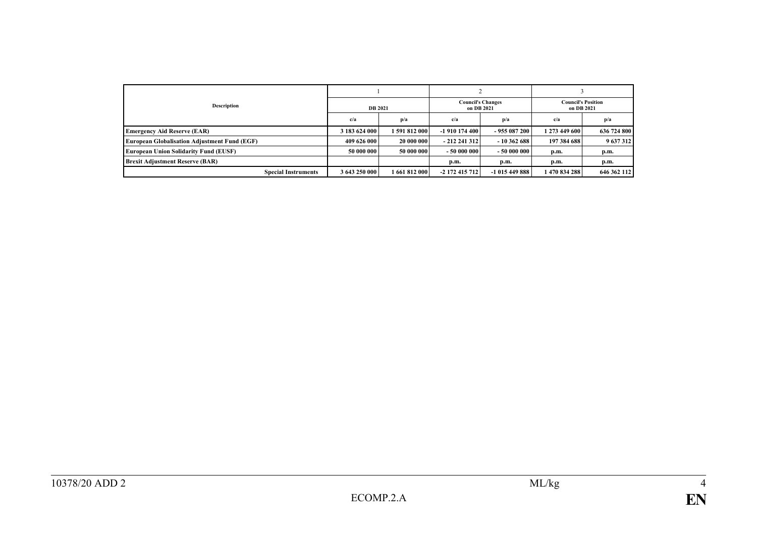| <b>Description</b>                                  | <b>DB</b> 2021 |                 | <b>Council's Changes</b><br>on DB 2021 |               | <b>Council's Position</b><br>on DB 2021 |             |
|-----------------------------------------------------|----------------|-----------------|----------------------------------------|---------------|-----------------------------------------|-------------|
|                                                     | c/a            | p/a             | c/a                                    | p/a           | c/a                                     | p/a         |
| <b>Emergency Aid Reserve (EAR)</b>                  | 3 183 624 000  | 1 591 812 000 l | -1 910 174 400                         | $-955087200$  | 1 273 449 600                           | 636 724 800 |
| <b>European Globalisation Adjustment Fund (EGF)</b> | 409 626 000    | 20 000 000      | $-212241312$                           | $-10362688$   | 197 384 688                             | 9 637 312   |
| <b>European Union Solidarity Fund (EUSF)</b>        | 50 000 000     | 50 000 000      | $-50000000$                            | $-50000000$   | p.m.                                    | p.m.        |
| <b>Brexit Adjustment Reserve (BAR)</b>              |                |                 | p.m.                                   | p.m.          | p.m.                                    | p.m.        |
| <b>Special Instruments</b>                          | 3 643 250 000  | 1 661 812 000 l | -2 172 415 712                         | $-1015449888$ | 1470 834 288                            | 646 362 112 |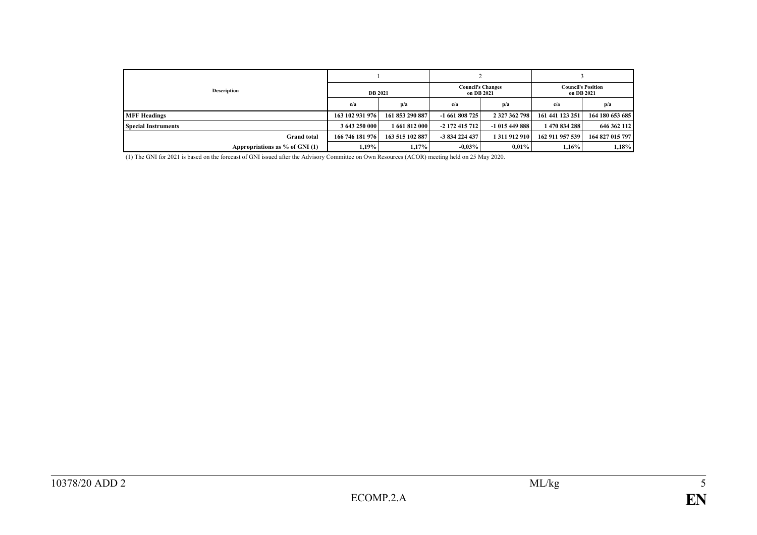| <b>Description</b>             | <b>DB</b> 2021  |                 | <b>Council's Changes</b><br>on DB 2021 |               | <b>Council's Position</b><br>on DB 2021 |                 |
|--------------------------------|-----------------|-----------------|----------------------------------------|---------------|-----------------------------------------|-----------------|
|                                | c/a             | p/a             | c/a                                    | p/a           | c/a                                     | p/a             |
| <b>MFF Headings</b>            | 163 102 931 976 | 161 853 290 887 | $-1661808725$                          | 2 327 362 798 | 161 441 123 251                         | 164 180 653 685 |
| <b>Special Instruments</b>     | 3 643 250 000   | 1 661 812 000   | $-2$ 172 415 712                       | $-1015449888$ | 1470 834 288                            | 646 362 112     |
| <b>Grand</b> total             | 166 746 181 976 | 163 515 102 887 | -3 834 224 437                         | 1311912910    | 162 911 957 539                         | 164 827 015 797 |
| Appropriations as % of GNI (1) | 1.19%           | 1,17%           | $-0.03\%$                              | $0.01\%$      | $1,16\%$                                | 1,18%           |

(1) The GNI for 2021 is based on the forecast of GNI issued after the Advisory Committee on Own Resources (ACOR) meeting held on 25 May 2020.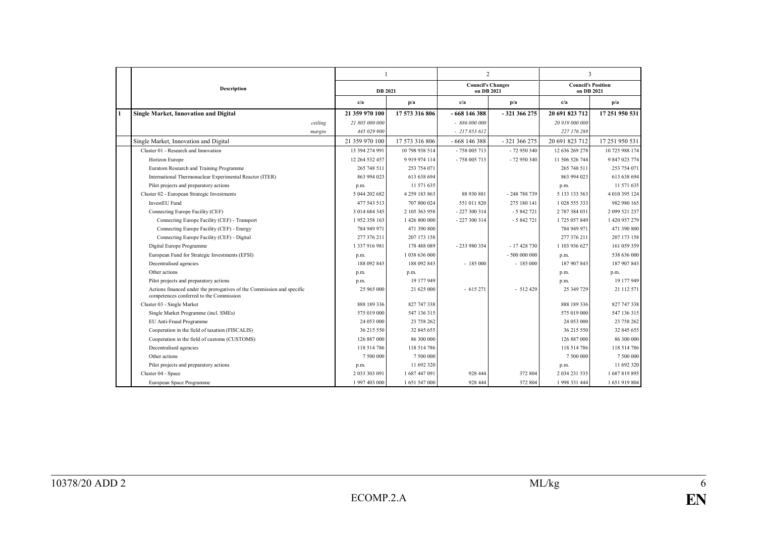|              |                                                                                                                   | $\mathbf{1}$   |                 |                                        | $\overline{2}$ |                                         | 3              |
|--------------|-------------------------------------------------------------------------------------------------------------------|----------------|-----------------|----------------------------------------|----------------|-----------------------------------------|----------------|
|              | Description                                                                                                       | <b>DB</b> 2021 |                 | <b>Council's Changes</b><br>on DB 2021 |                | <b>Council's Position</b><br>on DB 2021 |                |
|              |                                                                                                                   | c/a            | p/a             | c/a                                    | p/a            | c/a                                     | p/a            |
| $\mathbf{1}$ | <b>Single Market, Innovation and Digital</b>                                                                      | 21 359 970 100 | 17 573 316 806  | - 668 146 388                          | -321 366 275   | 20 691 823 712                          | 17 251 950 531 |
|              | ceiling                                                                                                           | 21 805 000 000 |                 | $-886000000$                           |                | 20 919 000 000                          |                |
|              | margin                                                                                                            | 445 029 900    |                 | $-217853612$                           |                | 227 176 288                             |                |
|              | Single Market, Innovation and Digital                                                                             | 21 359 970 100 | 17 573 316 806  | $-668$ 146 388                         | - 321 366 275  | 20 691 823 712                          | 17 251 950 531 |
|              | Cluster 01 - Research and Innovation                                                                              | 13 394 274 991 | 10 798 938 514  | - 758 005 713                          | $-72950340$    | 12 636 269 278                          | 10 725 988 174 |
|              | Horizon Europe                                                                                                    | 12 264 532 457 | 9 9 19 9 74 114 | - 758 005 713                          | - 72 950 340   | 11 506 526 744                          | 9 847 023 774  |
|              | Euratom Research and Training Programme                                                                           | 265 748 511    | 253 754 071     |                                        |                | 265 748 511                             | 253 754 071    |
|              | International Thermonuclear Experimental Reactor (ITER)                                                           | 863 994 023    | 613 638 694     |                                        |                | 863 994 023                             | 613 638 694    |
|              | Pilot projects and preparatory actions                                                                            | p.m.           | 11 571 635      |                                        |                | p.m.                                    | 11 571 635     |
|              | Cluster 02 - European Strategic Investments                                                                       | 5 044 202 682  | 4 259 183 863   | 88 930 881                             | - 248 788 739  | 5 133 133 563                           | 4 010 395 124  |
|              | InvestEU Fund                                                                                                     | 477 543 513    | 707 800 024     | 551 011 820                            | 275 180 141    | 1 028 555 333                           | 982 980 165    |
|              | Connecting Europe Facility (CEF)                                                                                  | 3 014 684 345  | 2 105 363 958   | - 227 300 314                          | $-5842721$     | 2 787 384 031                           | 2 099 521 237  |
|              | Connecting Europe Facility (CEF) - Transport                                                                      | 1952 358 163   | 1 426 800 000   | - 227 300 314                          | $-5842721$     | 1725 057 849                            | 1 420 957 279  |
|              | Connecting Europe Facility (CEF) - Energy                                                                         | 784 949 971    | 471 390 800     |                                        |                | 784 949 971                             | 471 390 800    |
|              | Connecting Europe Facility (CEF) - Digital                                                                        | 277 376 211    | 207 173 158     |                                        |                | 277 376 211                             | 207 173 158    |
|              | Digital Europe Programme                                                                                          | 1 337 916 981  | 178 488 089     | - 233 980 354                          | - 17 428 730   | 1 103 936 627                           | 161 059 359    |
|              | European Fund for Strategic Investments (EFSI)                                                                    | p.m.           | 1 038 636 000   |                                        | - 500 000 000  | p.m.                                    | 538 636 000    |
|              | Decentralised agencies                                                                                            | 188 092 843    | 188 092 843     | $-185000$                              | $-185000$      | 187 907 843                             | 187 907 843    |
|              | Other actions                                                                                                     | p.m.           | p.m.            |                                        |                | p.m.                                    | p.m.           |
|              | Pilot projects and preparatory actions                                                                            | p.m.           | 19 177 949      |                                        |                | p.m.                                    | 19 177 949     |
|              | Actions financed under the prerogatives of the Commission and specific<br>competences conferred to the Commission | 25 965 000     | 21 625 000      | $-615271$                              | $-512429$      | 25 349 729                              | 21 112 571     |
|              | Cluster 03 - Single Market                                                                                        | 888 189 336    | 827 747 338     |                                        |                | 888 189 336                             | 827 747 338    |
|              | Single Market Programme (incl. SMEs)                                                                              | 575 019 000    | 547 136 315     |                                        |                | 575 019 000                             | 547 136 315    |
|              | EU Anti-Fraud Programme                                                                                           | 24 053 000     | 23 758 262      |                                        |                | 24 053 000                              | 23 758 262     |
|              | Cooperation in the field of taxation (FISCALIS)                                                                   | 36 215 550     | 32 845 655      |                                        |                | 36 215 550                              | 32 845 655     |
|              | Cooperation in the field of customs (CUSTOMS)                                                                     | 126 887 000    | 86 300 000      |                                        |                | 126 887 000                             | 86 300 000     |
|              | Decentralised agencies                                                                                            | 118 514 786    | 118 514 786     |                                        |                | 118 514 786                             | 118 514 786    |
|              | Other actions                                                                                                     | 7 500 000      | 7 500 000       |                                        |                | 7 500 000                               | 7 500 000      |
|              | Pilot projects and preparatory actions                                                                            | p.m.           | 11 692 320      |                                        |                | p.m.                                    | 11 692 320     |
|              | Cluster 04 - Space                                                                                                | 2 033 303 091  | 1687447091      | 928 444                                | 372 804        | 2 034 231 535                           | 1687819895     |
|              | European Space Programme                                                                                          | 1997 403 000   | 1 651 547 000   | 928 444                                | 372 804        | 1998 331 444                            | 1 651 919 804  |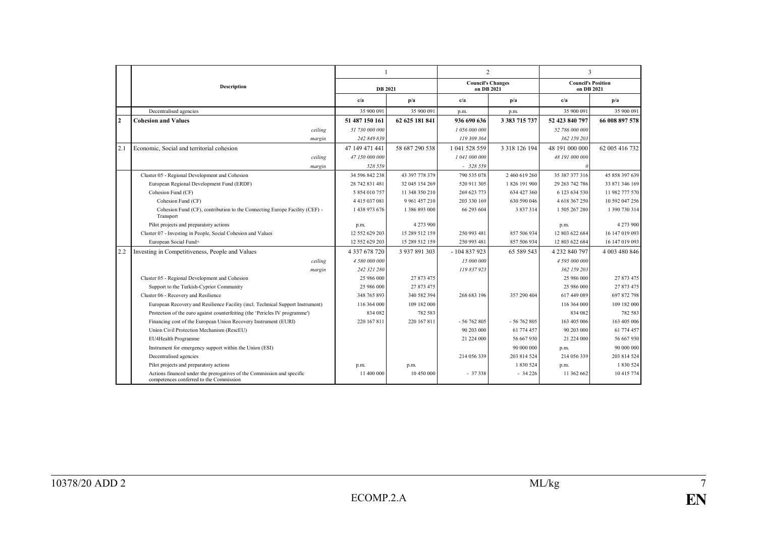|              |                                                                                                                   | $\mathbf{1}$   |                 |                                        | $\overline{2}$    |                                         | 3              |
|--------------|-------------------------------------------------------------------------------------------------------------------|----------------|-----------------|----------------------------------------|-------------------|-----------------------------------------|----------------|
|              | Description                                                                                                       | <b>DB</b> 2021 |                 | <b>Council's Changes</b><br>on DB 2021 |                   | <b>Council's Position</b><br>on DB 2021 |                |
|              |                                                                                                                   | c/a            | p/a             | c/a                                    | p/a               | c/a                                     | p/a            |
|              | Decentralised agencies                                                                                            | 35 900 091     | 35 900 091      | p.m.                                   | p.m.              | 35 900 091                              | 35 900 091     |
| $\mathbf{2}$ | <b>Cohesion and Values</b>                                                                                        | 51 487 150 161 | 62 625 181 841  | 936 690 636                            | 3 3 8 7 1 5 7 3 7 | 52 423 840 797                          | 66 008 897 578 |
|              | ceiling                                                                                                           | 51 730 000 000 |                 | 1 056 000 000                          |                   | 52 786 000 000                          |                |
|              | margin                                                                                                            | 242 849 839    |                 | 119 309 364                            |                   | 362 159 203                             |                |
| 2.1          | Economic, Social and territorial cohesion                                                                         | 47 149 471 441 | 58 687 290 538  | 1 041 528 559                          | 3 3 18 1 26 1 94  | 48 191 000 000                          | 62 005 416 732 |
|              | ceiling                                                                                                           | 47 150 000 000 |                 | 1 041 000 000                          |                   | 48 191 000 000                          |                |
|              | margin                                                                                                            | 528 559        |                 | $-528559$                              |                   |                                         |                |
|              | Cluster 05 - Regional Development and Cohesion                                                                    | 34 596 842 238 | 43 397 778 379  | 790 535 078                            | 2 460 619 260     | 35 387 377 316                          | 45 858 397 639 |
|              | European Regional Development Fund (ERDF)                                                                         | 28 742 831 481 | 32 045 154 269  | 520 911 305                            | 1 826 191 900     | 29 263 742 786                          | 33 871 346 169 |
|              | Cohesion Fund (CF)                                                                                                | 5 854 010 757  | 11 348 350 210  | 269 623 773                            | 634 427 360       | 6 123 634 530                           | 11 982 777 570 |
|              | Cohesion Fund (CF)                                                                                                | 4415037081     | 9 9 61 4 57 210 | 203 330 169                            | 630 590 046       | 4 618 367 250                           | 10 592 047 256 |
|              | Cohesion Fund (CF), contribution to the Connecting Europe Facility (CEF) -<br>Transport                           | 1 438 973 676  | 1 386 893 000   | 66 293 604                             | 3 837 314         | 1 505 267 280                           | 1 390 730 314  |
|              | Pilot projects and preparatory actions                                                                            | p.m.           | 4 2 7 3 9 0 0   |                                        |                   | p.m.                                    | 4 273 900      |
|              | Cluster 07 - Investing in People, Social Cohesion and Values                                                      | 12 552 629 203 | 15 289 512 159  | 250 993 481                            | 857 506 934       | 12 803 622 684                          | 16 147 019 093 |
|              | European Social Fund+                                                                                             | 12 552 629 203 | 15 289 512 159  | 250 993 481                            | 857 506 934       | 12 803 622 684                          | 16 147 019 093 |
| 2.2          | Investing in Competitiveness, People and Values                                                                   | 4 337 678 720  | 3 937 891 303   | $-104837923$                           | 65 589 543        | 4 232 840 797                           | 4 003 480 846  |
|              | ceiling                                                                                                           | 4 580 000 000  |                 | 15 000 000                             |                   | 4 595 000 000                           |                |
|              | margin                                                                                                            | 242 321 280    |                 | 119 837 923                            |                   | 362 159 203                             |                |
|              | Cluster 05 - Regional Development and Cohesion                                                                    | 25 986 000     | 27 873 475      |                                        |                   | 25 986 000                              | 27 873 475     |
|              | Support to the Turkish-Cypriot Community                                                                          | 25 986 000     | 27 873 475      |                                        |                   | 25 986 000                              | 27 873 475     |
|              | Cluster 06 - Recovery and Resilience                                                                              | 348 765 893    | 340 582 394     | 268 683 196                            | 357 290 404       | 617 449 089                             | 697 872 798    |
|              | European Recovery and Resilience Facility (incl. Technical Support Instrument)                                    | 116 364 000    | 109 182 000     |                                        |                   | 116 364 000                             | 109 182 000    |
|              | Protection of the euro against counterfeiting (the 'Pericles IV programme')                                       | 834 082        | 782 583         |                                        |                   | 834 082                                 | 782 583        |
|              | Financing cost of the European Union Recovery Instrument (EURI)                                                   | 220 167 811    | 220 167 811     | $-56762805$                            | $-56762805$       | 163 405 006                             | 163 405 006    |
|              | Union Civil Protection Mechanism (RescEU)                                                                         |                |                 | 90 203 000                             | 61 774 457        | 90 203 000                              | 61 774 457     |
|              | EU4Health Programme                                                                                               |                |                 | 21 224 000                             | 56 667 930        | 21 224 000                              | 56 667 930     |
|              | Instrument for emergency support within the Union (ESI)                                                           |                |                 |                                        | 90 000 000        | p.m.                                    | 90 000 000     |
|              | Decentralised agencies                                                                                            |                |                 | 214 056 339                            | 203 814 524       | 214 056 339                             | 203 814 524    |
|              | Pilot projects and preparatory actions                                                                            | p.m.           | p.m.            |                                        | 1 830 524         | p.m.                                    | 1 830 524      |
|              | Actions financed under the prerogatives of the Commission and specific<br>competences conferred to the Commission | 11 400 000     | 10 450 000      | $-37338$                               | $-34226$          | 11 362 662                              | 10 415 774     |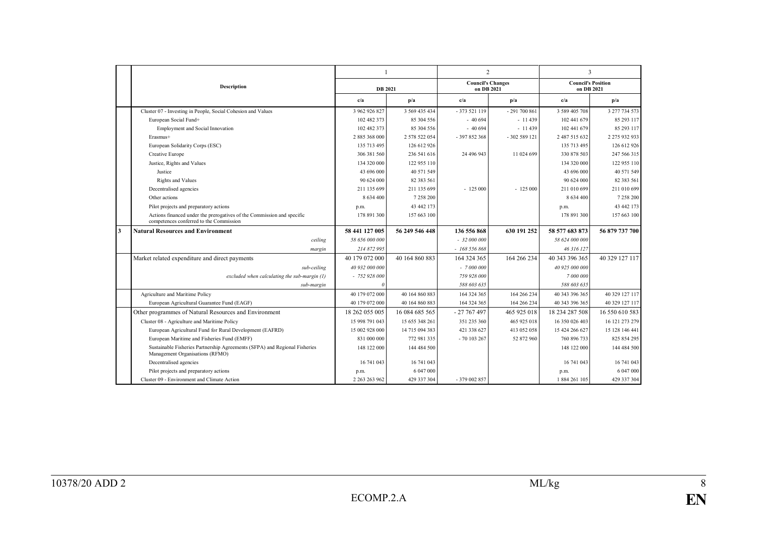|              |                                                                                                                   |                |                |              | $\overline{2}$           |                | 3                                       |
|--------------|-------------------------------------------------------------------------------------------------------------------|----------------|----------------|--------------|--------------------------|----------------|-----------------------------------------|
|              | <b>Description</b>                                                                                                | <b>DB</b> 2021 |                | on DB 2021   | <b>Council's Changes</b> |                | <b>Council's Position</b><br>on DB 2021 |
|              |                                                                                                                   | c/a            | p/a            | c/a          | p/a                      | c/a            | p/a                                     |
|              | Cluster 07 - Investing in People, Social Cohesion and Values                                                      | 3 962 926 827  | 3 569 435 434  | $-373521119$ | $-291700861$             | 3 589 405 708  | 3 277 734 573                           |
|              | European Social Fund+                                                                                             | 102 482 373    | 85 304 556     | $-40694$     | $-11439$                 | 102 441 679    | 85 293 117                              |
|              | Employment and Social Innovation                                                                                  | 102 482 373    | 85 304 556     | $-40694$     | $-11439$                 | 102 441 679    | 85 293 117                              |
|              | Erasmus+                                                                                                          | 2885368000     | 2 578 522 054  | $-397852368$ | $-302589121$             | 2 487 515 632  | 2 275 932 933                           |
|              | European Solidarity Corps (ESC)                                                                                   | 135 713 495    | 126 612 926    |              |                          | 135 713 495    | 126 612 926                             |
|              | Creative Europe                                                                                                   | 306 381 560    | 236 541 616    | 24 496 943   | 11 024 699               | 330 878 503    | 247 566 315                             |
|              | Justice, Rights and Values                                                                                        | 134 320 000    | 122 955 110    |              |                          | 134 320 000    | 122 955 110                             |
|              | Justice                                                                                                           | 43 696 000     | 40 571 549     |              |                          | 43 696 000     | 40 571 549                              |
|              | <b>Rights and Values</b>                                                                                          | 90 624 000     | 82 383 561     |              |                          | 90 624 000     | 82 383 561                              |
|              | Decentralised agencies                                                                                            | 211 135 699    | 211 135 699    | $-125000$    | $-125000$                | 211 010 699    | 211 010 699                             |
|              | Other actions                                                                                                     | 8 634 400      | 7 258 200      |              |                          | 8 634 400      | 7 258 200                               |
|              | Pilot projects and preparatory actions                                                                            | p.m.           | 43 442 173     |              |                          | p.m.           | 43 442 173                              |
|              | Actions financed under the prerogatives of the Commission and specific<br>competences conferred to the Commission | 178 891 300    | 157 663 100    |              |                          | 178 891 300    | 157 663 100                             |
| $\mathbf{3}$ | <b>Natural Resources and Environment</b>                                                                          | 58 441 127 005 | 56 249 546 448 | 136 556 868  | 630 191 252              | 58 577 683 873 | 56 879 737 700                          |
|              | ceiling                                                                                                           | 58 656 000 000 |                | $-32000000$  |                          | 58 624 000 000 |                                         |
|              | margin                                                                                                            | 214 872 995    |                | $-168556868$ |                          | 46 316 127     |                                         |
|              | Market related expenditure and direct payments                                                                    | 40 179 072 000 | 40 164 860 883 | 164 324 365  | 164 266 234              | 40 343 396 365 | 40 329 127 117                          |
|              | sub-ceiling                                                                                                       | 40 932 000 000 |                | $-7000000$   |                          | 40 925 000 000 |                                         |
|              | excluded when calculating the sub-margin (1)                                                                      | $-752928000$   |                | 759 928 000  |                          | 7 000 000      |                                         |
|              | sub-margin                                                                                                        |                |                | 588 603 635  |                          | 588 603 635    |                                         |
|              | Agriculture and Maritime Policy                                                                                   | 40 179 072 000 | 40 164 860 883 | 164 324 365  | 164 266 234              | 40 343 396 365 | 40 329 127 117                          |
|              | European Agricultural Guarantee Fund (EAGF)                                                                       | 40 179 072 000 | 40 164 860 883 | 164 324 365  | 164 266 234              | 40 343 396 365 | 40 329 127 117                          |
|              | Other programmes of Natural Resources and Environment                                                             | 18 262 055 005 | 16 084 685 565 | $-27767497$  | 465 925 018              | 18 234 287 508 | 16 550 610 583                          |
|              | Cluster 08 - Agriculture and Maritime Policy                                                                      | 15 998 791 043 | 15 655 348 261 | 351 235 360  | 465 925 018              | 16 350 026 403 | 16 121 273 279                          |
|              | European Agricultural Fund for Rural Development (EAFRD)                                                          | 15 002 928 000 | 14 715 094 383 | 421 338 627  | 413 052 058              | 15 424 266 627 | 15 128 146 441                          |
|              | European Maritime and Fisheries Fund (EMFF)                                                                       | 831 000 000    | 772 981 335    | $-70103267$  | 52 872 960               | 760 896 733    | 825 854 295                             |
|              | Sustainable Fisheries Partnership Agreements (SFPA) and Regional Fisheries<br>Management Organisations (RFMO)     | 148 122 000    | 144 484 500    |              |                          | 148 122 000    | 144 484 500                             |
|              | Decentralised agencies                                                                                            | 16 741 043     | 16 741 043     |              |                          | 16 741 043     | 16 741 043                              |
|              | Pilot projects and preparatory actions                                                                            | p.m.           | 6 047 000      |              |                          | p.m.           | 6 047 000                               |
|              |                                                                                                                   |                |                |              |                          |                |                                         |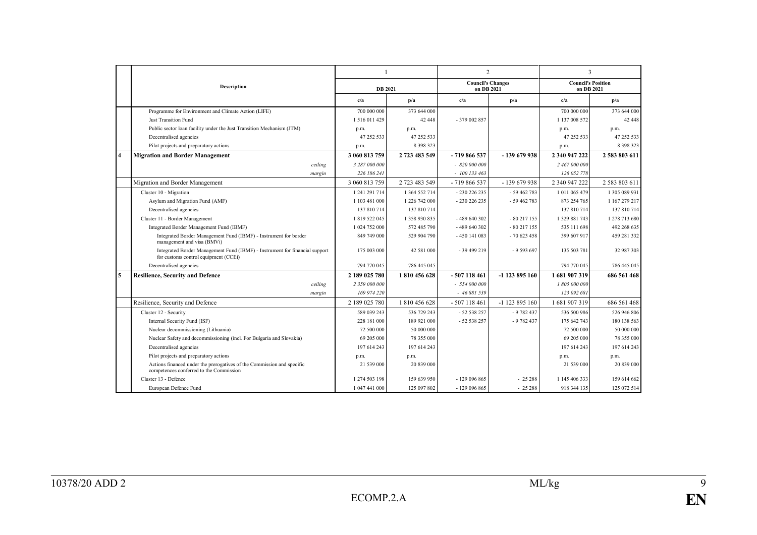|                         |                                                                                                                     | 1              |               | $\overline{2}$                         |                | 3                                       |               |
|-------------------------|---------------------------------------------------------------------------------------------------------------------|----------------|---------------|----------------------------------------|----------------|-----------------------------------------|---------------|
|                         | <b>Description</b>                                                                                                  | <b>DB</b> 2021 |               | <b>Council's Changes</b><br>on DB 2021 |                | <b>Council's Position</b><br>on DB 2021 |               |
|                         |                                                                                                                     | c/a            | p/a           | c/a                                    | p/a            | c/a                                     | p/a           |
|                         | Programme for Environment and Climate Action (LIFE)                                                                 | 700 000 000    | 373 644 000   |                                        |                | 700 000 000                             | 373 644 000   |
|                         | <b>Just Transition Fund</b>                                                                                         | 1516011429     | 42 448        | $-379002857$                           |                | 1 137 008 572                           | 42 448        |
|                         | Public sector loan facility under the Just Transition Mechanism (JTM)                                               | p.m.           | p.m.          |                                        |                | p.m.                                    | p.m.          |
|                         | Decentralised agencies                                                                                              | 47 252 533     | 47 252 533    |                                        |                | 47 252 533                              | 47 252 533    |
|                         | Pilot projects and preparatory actions                                                                              | p.m.           | 8 3 9 8 3 2 3 |                                        |                | p.m.                                    | 8 3 9 8 3 2 3 |
| $\overline{\mathbf{4}}$ | <b>Migration and Border Management</b>                                                                              | 3 060 813 759  | 2 723 483 549 | - 719 866 537                          | -139 679 938   | 2 340 947 222                           | 2 583 803 611 |
|                         | ceiling                                                                                                             | 3 287 000 000  |               | $-820000000$                           |                | 2 467 000 000                           |               |
|                         | margin                                                                                                              | 226 186 241    |               | $-100133463$                           |                | 126 052 778                             |               |
|                         | Migration and Border Management                                                                                     | 3 060 813 759  | 2 723 483 549 | - 719 866 537                          | - 139 679 938  | 2 340 947 222                           | 2 583 803 611 |
|                         | Cluster 10 - Migration                                                                                              | 1 241 291 714  | 1 364 552 714 | $-230226235$                           | $-59462783$    | 1 011 065 479                           | 1 305 089 931 |
|                         | Asylum and Migration Fund (AMF)                                                                                     | 1 103 481 000  | 1 226 742 000 | - 230 226 235                          | $-59462783$    | 873 254 765                             | 1 167 279 217 |
|                         | Decentralised agencies                                                                                              | 137 810 714    | 137 810 714   |                                        |                | 137 810 714                             | 137 810 714   |
|                         | Cluster 11 - Border Management                                                                                      | 1 819 522 045  | 1 358 930 835 | $-489640302$                           | $-80217155$    | 1 3 2 9 8 8 1 7 4 3                     | 1 278 713 680 |
|                         | Integrated Border Management Fund (IBMF)                                                                            | 1 024 752 000  | 572 485 790   | - 489 640 302                          | $-80217155$    | 535 111 698                             | 492 268 635   |
|                         | Integrated Border Management Fund (IBMF) - Instrument for border<br>management and visa (BMVi)                      | 849 749 000    | 529 904 790   | -450 141 083                           | - 70 623 458   | 399 607 917                             | 459 281 332   |
|                         | Integrated Border Management Fund (IBMF) - Instrument for financial support<br>for customs control equipment (CCEi) | 175 003 000    | 42 581 000    | $-39499219$                            | $-9593697$     | 135 503 781                             | 32 987 303    |
|                         | Decentralised agencies                                                                                              | 794 770 045    | 786 445 045   |                                        |                | 794 770 045                             | 786 445 045   |
| 5                       | <b>Resilience, Security and Defence</b>                                                                             | 2 189 025 780  | 1810456628    | $-507118461$                           | -1 123 895 160 | 1681907319                              | 686 561 468   |
|                         | ceiling                                                                                                             | 2 359 000 000  |               | $-554000000$                           |                | 1 805 000 000                           |               |
|                         | margin                                                                                                              | 169 974 220    |               | $-46881539$                            |                | 123 092 681                             |               |
|                         | Resilience, Security and Defence                                                                                    | 2 189 025 780  | 1810456628    | $-507118461$                           | -1 123 895 160 | 1681907319                              | 686 561 468   |
|                         | Cluster 12 - Security                                                                                               | 589 039 243    | 536 729 243   | $-52538257$                            | $-9782437$     | 536 500 986                             | 526 946 806   |
|                         | Internal Security Fund (ISF)                                                                                        | 228 181 000    | 189 921 000   | $-52538257$                            | $-9782437$     | 175 642 743                             | 180 138 563   |
|                         | Nuclear decommissioning (Lithuania)                                                                                 | 72 500 000     | 50 000 000    |                                        |                | 72 500 000                              | 50 000 000    |
|                         | Nuclear Safety and decommissioning (incl. For Bulgaria and Slovakia)                                                | 69 205 000     | 78 355 000    |                                        |                | 69 205 000                              | 78 355 000    |
|                         | Decentralised agencies                                                                                              | 197 614 243    | 197 614 243   |                                        |                | 197 614 243                             | 197 614 243   |
|                         | Pilot projects and preparatory actions                                                                              | p.m.           | p.m.          |                                        |                | p.m.                                    | p.m.          |
|                         | Actions financed under the prerogatives of the Commission and specific<br>competences conferred to the Commission   | 21 539 000     | 20 839 000    |                                        |                | 21 539 000                              | 20 839 000    |
|                         | Cluster 13 - Defence                                                                                                | 1 274 503 198  | 159 639 950   | $-129096865$                           | $-25288$       | 1 145 406 333                           | 159 614 662   |
|                         | European Defence Fund                                                                                               | 1 047 441 000  | 125 097 802   | $-129096865$                           | $-25288$       | 918 344 135                             | 125 072 514   |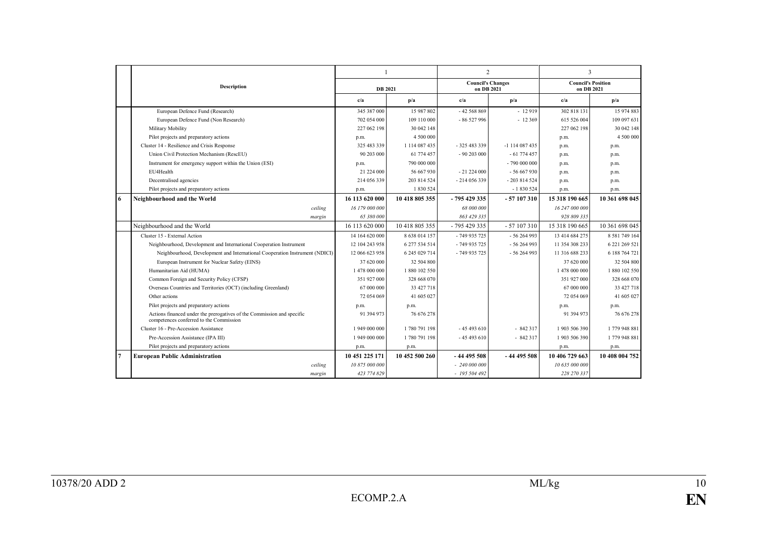|                |                                                                                                                   | $\mathbf{1}$   |                |                                        | $\overline{2}$ | 3                                       |                |
|----------------|-------------------------------------------------------------------------------------------------------------------|----------------|----------------|----------------------------------------|----------------|-----------------------------------------|----------------|
|                | <b>Description</b>                                                                                                | <b>DB</b> 2021 |                | <b>Council's Changes</b><br>on DB 2021 |                | <b>Council's Position</b><br>on DB 2021 |                |
|                |                                                                                                                   | c/a            | p/a            | c/a                                    | p/a            | c/a                                     | p/a            |
|                | European Defence Fund (Research)                                                                                  | 345 387 000    | 15 987 802     | $-42568869$                            | $-12919$       | 302 818 131                             | 15 974 883     |
|                | European Defence Fund (Non Research)                                                                              | 702 054 000    | 109 110 000    | $-86527996$                            | $-12369$       | 615 526 004                             | 109 097 631    |
|                | Military Mobility                                                                                                 | 227 062 198    | 30 042 148     |                                        |                | 227 062 198                             | 30 042 148     |
|                | Pilot projects and preparatory actions                                                                            | p.m.           | 4 500 000      |                                        |                | p.m.                                    | 4 500 000      |
|                | Cluster 14 - Resilience and Crisis Response                                                                       | 325 483 339    | 1 114 087 435  | - 325 483 339                          | -1 114 087 435 | p.m.                                    | p.m.           |
|                | Union Civil Protection Mechanism (RescEU)                                                                         | 90 203 000     | 61 774 457     | $-90203000$                            | $-61774457$    | p.m.                                    | p.m.           |
|                | Instrument for emergency support within the Union (ESI)                                                           | p.m.           | 790 000 000    |                                        | - 790 000 000  | p.m.                                    | p.m.           |
|                | EU4Health                                                                                                         | 21 224 000     | 56 667 930     | $-21224000$                            | $-56667930$    | p.m.                                    | p.m.           |
|                | Decentralised agencies                                                                                            | 214 056 339    | 203 814 524    | $-214056339$                           | $-203814524$   | p.m.                                    | p.m.           |
|                | Pilot projects and preparatory actions                                                                            | p.m.           | 1 830 524      |                                        | $-1830524$     | p.m.                                    | p.m.           |
| 6              | Neighbourhood and the World                                                                                       | 16 113 620 000 | 10 418 805 355 | $-795429335$                           | - 57 107 310   | 15 318 190 665                          | 10 361 698 045 |
|                | ceiling                                                                                                           | 16 179 000 000 |                | 68 000 000                             |                | 16 247 000 000                          |                |
|                | margin                                                                                                            | 65 380 000     |                | 863 429 335                            |                | 928 809 335                             |                |
|                | Neighbourhood and the World                                                                                       | 16 113 620 000 | 10 418 805 355 | $-795429335$                           | $-57107310$    | 15 318 190 665                          | 10 361 698 045 |
|                | Cluster 15 - External Action                                                                                      | 14 164 620 000 | 8 638 014 157  | $-749935725$                           | $-56264993$    | 13 414 684 275                          | 8 581 749 164  |
|                | Neighbourhood, Development and International Cooperation Instrument                                               | 12 104 243 958 | 6 277 534 514  | $-749935725$                           | $-56264993$    | 11 354 308 233                          | 6 221 269 521  |
|                | Neighbourhood, Development and International Cooperation Instrument (NDICI)                                       | 12 066 623 958 | 6 245 029 714  | $-749935725$                           | $-56264993$    | 11 316 688 233                          | 6 188 764 721  |
|                | European Instrument for Nuclear Safety (EINS)                                                                     | 37 620 000     | 32 504 800     |                                        |                | 37 620 000                              | 32 504 800     |
|                | Humanitarian Aid (HUMA)                                                                                           | 1 478 000 000  | 1 880 102 550  |                                        |                | 1478 000 000                            | 1 880 102 550  |
|                | Common Foreign and Security Policy (CFSP)                                                                         | 351 927 000    | 328 668 070    |                                        |                | 351 927 000                             | 328 668 070    |
|                | Overseas Countries and Territories (OCT) (including Greenland)                                                    | 67 000 000     | 33 427 718     |                                        |                | 67 000 000                              | 33 427 718     |
|                | Other actions                                                                                                     | 72 054 069     | 41 605 027     |                                        |                | 72 054 069                              | 41 605 027     |
|                | Pilot projects and preparatory actions                                                                            | p.m.           | p.m.           |                                        |                | p.m.                                    | p.m.           |
|                | Actions financed under the prerogatives of the Commission and specific<br>competences conferred to the Commission | 91 394 973     | 76 676 278     |                                        |                | 91 394 973                              | 76 676 278     |
|                | Cluster 16 - Pre-Accession Assistance                                                                             | 1 949 000 000  | 1780 791 198   | $-45493610$                            | $-842317$      | 1903 506 390                            | 1 779 948 881  |
|                | Pre-Accession Assistance (IPA III)                                                                                | 1 949 000 000  | 1780 791 198   | $-45493610$                            | $-842317$      | 1903 506 390                            | 1 779 948 881  |
|                | Pilot projects and preparatory actions                                                                            | p.m.           | p.m.           |                                        |                | p.m.                                    | p.m.           |
| $\overline{7}$ | <b>European Public Administration</b>                                                                             | 10 451 225 171 | 10 452 500 260 | $-4449558$                             | $-44495508$    | 10 406 729 663                          | 10 408 004 752 |
|                | ceiling                                                                                                           | 10 875 000 000 |                | $-240000000$                           |                | 10 635 000 000                          |                |
|                | margin                                                                                                            | 423 774 829    |                | $-195504492$                           |                | 228 270 337                             |                |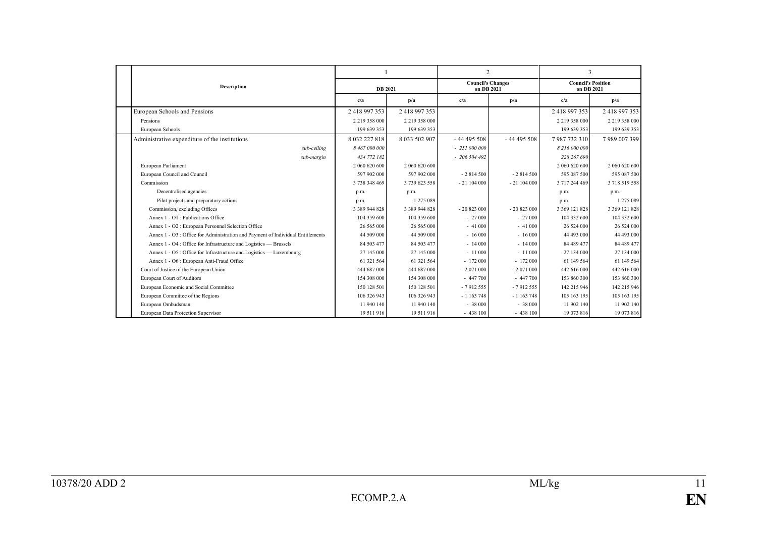|                                                                                 |                    |               |              | $\overline{2}$           | 3                                       |                  |
|---------------------------------------------------------------------------------|--------------------|---------------|--------------|--------------------------|-----------------------------------------|------------------|
| Description                                                                     | <b>DB</b> 2021     |               | on DB 2021   | <b>Council's Changes</b> | <b>Council's Position</b><br>on DB 2021 |                  |
|                                                                                 | c/a                | p/a           | c/a          | p/a                      | c/a                                     | p/a              |
| European Schools and Pensions                                                   | 2 418 997 353      | 2418997353    |              |                          | 2418997353                              | 2418997353       |
| Pensions                                                                        | 2 2 19 3 5 8 0 0 0 | 2 219 358 000 |              |                          | 2 2 19 3 5 8 0 0 0                      | 2 2 19 3 58 000  |
| European Schools                                                                | 199 639 353        | 199 639 353   |              |                          | 199 639 353                             | 199 639 353      |
| Administrative expenditure of the institutions                                  | 8 032 227 818      | 8 033 502 907 | $-44495508$  | $-44495508$              | 7987732310                              | 7 989 007 399    |
| sub-ceiling                                                                     | 8 467 000 000      |               | $-251000000$ |                          | 8 216 000 000                           |                  |
| sub-margin                                                                      | 434 772 182        |               | $-206504492$ |                          | 228 267 690                             |                  |
| European Parliament                                                             | 2 060 620 600      | 2 060 620 600 |              |                          | 2 060 620 600                           | 2 060 620 600    |
| European Council and Council                                                    | 597 902 000        | 597 902 000   | $-2814500$   | $-2814500$               | 595 087 500                             | 595 087 500      |
| Commission                                                                      | 3 738 348 469      | 3 739 623 558 | $-21104000$  | $-21104000$              | 3 717 244 469                           | 3 718 519 558    |
| Decentralised agencies                                                          | p.m.               | p.m.          |              |                          | p.m.                                    | p.m.             |
| Pilot projects and preparatory actions                                          | p.m.               | 1 275 089     |              |                          | p.m.                                    | 1 275 089        |
| Commission, excluding Offices                                                   | 3 389 944 828      | 3 389 944 828 | $-20823000$  | $-20823000$              | 3 3 69 1 21 8 28                        | 3 3 69 1 21 8 28 |
| Annex 1 - O1 : Publications Office                                              | 104 359 600        | 104 359 600   | $-27000$     | $-27000$                 | 104 332 600                             | 104 332 600      |
| Annex 1 - O2 : European Personnel Selection Office                              | 26 565 000         | 26 565 000    | $-41000$     | $-41000$                 | 26 524 000                              | 26 524 000       |
| Annex 1 - O3 : Office for Administration and Payment of Individual Entitlements | 44 509 000         | 44 509 000    | $-16000$     | $-16000$                 | 44 493 000                              | 44 493 000       |
| Annex 1 - O4 : Office for Infrastructure and Logistics - Brussels               | 84 503 477         | 84 503 477    | $-14000$     | $-14000$                 | 84 489 477                              | 84 489 477       |
| Annex 1 - O5 : Office for Infrastructure and Logistics — Luxembourg             | 27 145 000         | 27 145 000    | $-11000$     | $-11000$                 | 27 134 000                              | 27 134 000       |
| Annex 1 - O6 : European Anti-Fraud Office                                       | 61 321 564         | 61 321 564    | $-172000$    | $-172000$                | 61 149 564                              | 61 149 564       |
| Court of Justice of the European Union                                          | 444 687 000        | 444 687 000   | $-2071000$   | $-2071000$               | 442 616 000                             | 442 616 000      |
| European Court of Auditors                                                      | 154 308 000        | 154 308 000   | $-447700$    | $-447700$                | 153 860 300                             | 153 860 300      |
| European Economic and Social Committee                                          | 150 128 501        | 150 128 501   | $-7912555$   | $-7912555$               | 142 215 946                             | 142 215 946      |
| European Committee of the Regions                                               | 106 326 943        | 106 326 943   | $-1163748$   | $-1163748$               | 105 163 195                             | 105 163 195      |
| European Ombudsman                                                              | 11 940 140         | 11 940 140    | $-38000$     | $-38000$                 | 11 902 140                              | 11 902 140       |
| European Data Protection Supervisor                                             | 19 511 916         | 19 511 916    | $-438100$    | $-438100$                | 19 073 816                              | 19 073 816       |